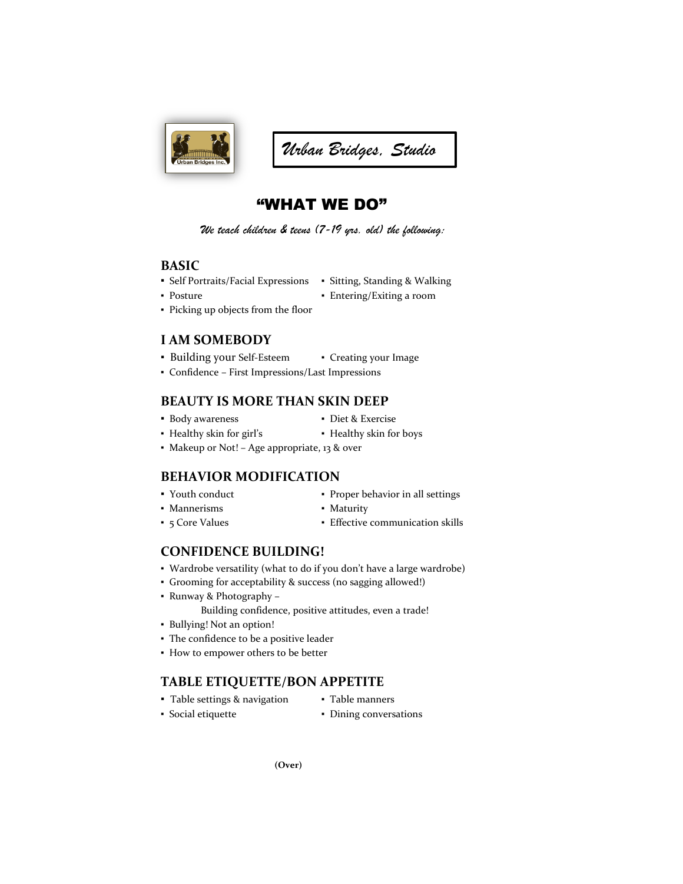

# *Urban Bridges, Studio*

## "WHAT WE DO"

*We teach children & teens (7-19 yrs. old) the following:*

#### **BASIC**

- **▪** Self Portraits/Facial Expressions Sitting, Standing & Walking
- 
- 
- Posture  **Entering/Exiting a room**
- Picking up objects from the floor

### **I AM SOMEBODY**

- Building your Self-Esteem Creating your Image
- Confidence First Impressions/Last Impressions

### **BEAUTY IS MORE THAN SKIN DEEP**

- **•** Body awareness **•** Diet & Exercise
	-
- Healthy skin for girl's Healthy skin for boys
- Makeup or Not! Age appropriate, 13 & over

### **BEHAVIOR MODIFICATION**

- Youth conduct  **Proper behavior in all settings**
- Mannerisms Maturity
- 5 Core Values Effective communication skills

### **CONFIDENCE BUILDING!**

- Wardrobe versatility (what to do if you don't have a large wardrobe)
- Grooming for acceptability & success (no sagging allowed!)
- Runway & Photography Building confidence, positive attitudes, even a trade!
- Bullying! Not an option!
- The confidence to be a positive leader
- How to empower others to be better

#### **TABLE ETIQUETTE/BON APPETITE**

- **▪** Table settings & navigation Table manners
	-
- Social etiquette Dining conversations
- - - **(Over)**